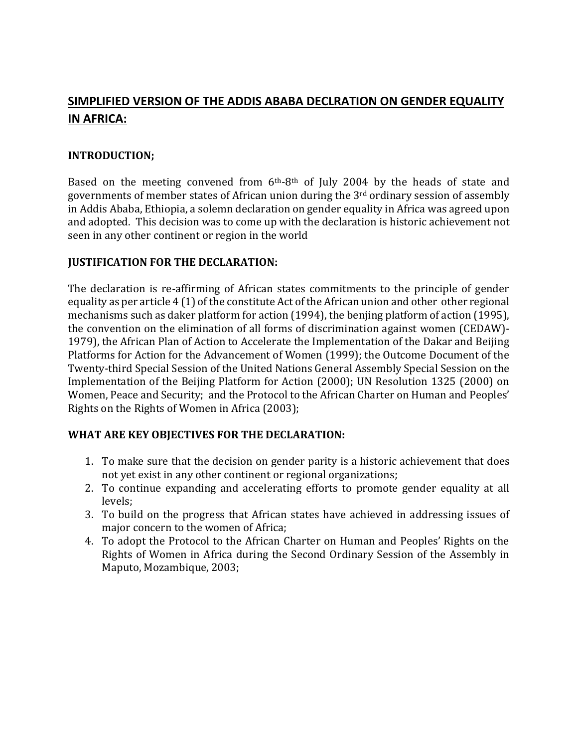# **SIMPLIFIED VERSION OF THE ADDIS ABABA DECLRATION ON GENDER EQUALITY IN AFRICA:**

## **INTRODUCTION;**

Based on the meeting convened from 6<sup>th</sup>-8<sup>th</sup> of July 2004 by the heads of state and governments of member states of African union during the 3rd ordinary session of assembly in Addis Ababa, Ethiopia, a solemn declaration on gender equality in Africa was agreed upon and adopted. This decision was to come up with the declaration is historic achievement not seen in any other continent or region in the world

# **JUSTIFICATION FOR THE DECLARATION:**

The declaration is re-affirming of African states commitments to the principle of gender equality as per article 4 (1) of the constitute Act of the African union and other other regional mechanisms such as daker platform for action (1994), the benjing platform of action (1995), the convention on the elimination of all forms of discrimination against women (CEDAW)- 1979), the African Plan of Action to Accelerate the Implementation of the Dakar and Beijing Platforms for Action for the Advancement of Women (1999); the Outcome Document of the Twenty-third Special Session of the United Nations General Assembly Special Session on the Implementation of the Beijing Platform for Action (2000); UN Resolution 1325 (2000) on Women, Peace and Security; and the Protocol to the African Charter on Human and Peoples' Rights on the Rights of Women in Africa (2003);

### **WHAT ARE KEY OBJECTIVES FOR THE DECLARATION:**

- 1. To make sure that the decision on gender parity is a historic achievement that does not yet exist in any other continent or regional organizations;
- 2. To continue expanding and accelerating efforts to promote gender equality at all levels;
- 3. To build on the progress that African states have achieved in addressing issues of major concern to the women of Africa;
- 4. To adopt the Protocol to the African Charter on Human and Peoples' Rights on the Rights of Women in Africa during the Second Ordinary Session of the Assembly in Maputo, Mozambique, 2003;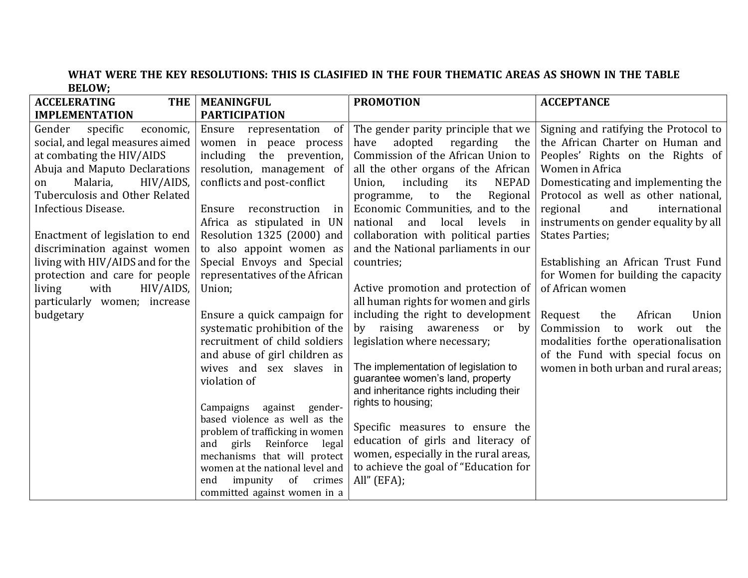#### **WHAT WERE THE KEY RESOLUTIONS: THIS IS CLASIFIED IN THE FOUR THEMATIC AREAS AS SHOWN IN THE TABLE BELOW;**

| DLIV II<br><b>ACCELERATING</b><br><b>THE</b> | <b>MEANINGFUL</b>                                                | <b>PROMOTION</b>                                                         | <b>ACCEPTANCE</b>                     |
|----------------------------------------------|------------------------------------------------------------------|--------------------------------------------------------------------------|---------------------------------------|
| <b>IMPLEMENTATION</b>                        | <b>PARTICIPATION</b>                                             |                                                                          |                                       |
| specific<br>Gender<br>economic,              | Ensure representation of                                         | The gender parity principle that we                                      | Signing and ratifying the Protocol to |
| social, and legal measures aimed             | women in peace process                                           | have<br>adopted regarding<br>the                                         | the African Charter on Human and      |
| at combating the HIV/AIDS                    | including the prevention,                                        | Commission of the African Union to                                       | Peoples' Rights on the Rights of      |
| Abuja and Maputo Declarations                | resolution, management of                                        | all the other organs of the African                                      | Women in Africa                       |
| HIV/AIDS,<br>Malaria,<br>on                  | conflicts and post-conflict                                      | <b>NEPAD</b><br>Union,<br>including<br>its                               | Domesticating and implementing the    |
| Tuberculosis and Other Related               |                                                                  | Regional<br>to<br>the<br>programme,                                      | Protocol as well as other national,   |
| Infectious Disease.                          | Ensure reconstruction<br>in                                      | Economic Communities, and to the                                         | international<br>regional<br>and      |
|                                              | Africa as stipulated in UN                                       | national<br>and<br>local<br>levels<br>in                                 | instruments on gender equality by all |
| Enactment of legislation to end              | Resolution 1325 (2000) and                                       | collaboration with political parties                                     | <b>States Parties;</b>                |
| discrimination against women                 | to also appoint women as                                         | and the National parliaments in our                                      |                                       |
| living with HIV/AIDS and for the             | Special Envoys and Special                                       | countries;                                                               | Establishing an African Trust Fund    |
| protection and care for people               | representatives of the African                                   |                                                                          | for Women for building the capacity   |
| with<br>HIV/AIDS,<br>living                  | Union;                                                           | Active promotion and protection of                                       | of African women                      |
| particularly women; increase                 |                                                                  | all human rights for women and girls                                     |                                       |
| budgetary                                    | Ensure a quick campaign for                                      | including the right to development                                       | African<br>Request<br>the<br>Union    |
|                                              | systematic prohibition of the                                    | by raising awareness or<br>by                                            | Commission to<br>work out the         |
|                                              | recruitment of child soldiers                                    | legislation where necessary;                                             | modalities forthe operationalisation  |
|                                              | and abuse of girl children as                                    |                                                                          | of the Fund with special focus on     |
|                                              | wives and sex slaves in                                          | The implementation of legislation to<br>guarantee women's land, property | women in both urban and rural areas;  |
|                                              | violation of                                                     | and inheritance rights including their                                   |                                       |
|                                              |                                                                  | rights to housing;                                                       |                                       |
|                                              | Campaigns against gender-                                        |                                                                          |                                       |
|                                              | based violence as well as the<br>problem of trafficking in women | Specific measures to ensure the                                          |                                       |
|                                              | Reinforce legal<br>and girls                                     | education of girls and literacy of                                       |                                       |
|                                              | mechanisms that will protect                                     | women, especially in the rural areas,                                    |                                       |
|                                              | women at the national level and                                  | to achieve the goal of "Education for                                    |                                       |
|                                              | impunity<br>of crimes<br>end                                     | All" (EFA);                                                              |                                       |
|                                              | committed against women in a                                     |                                                                          |                                       |